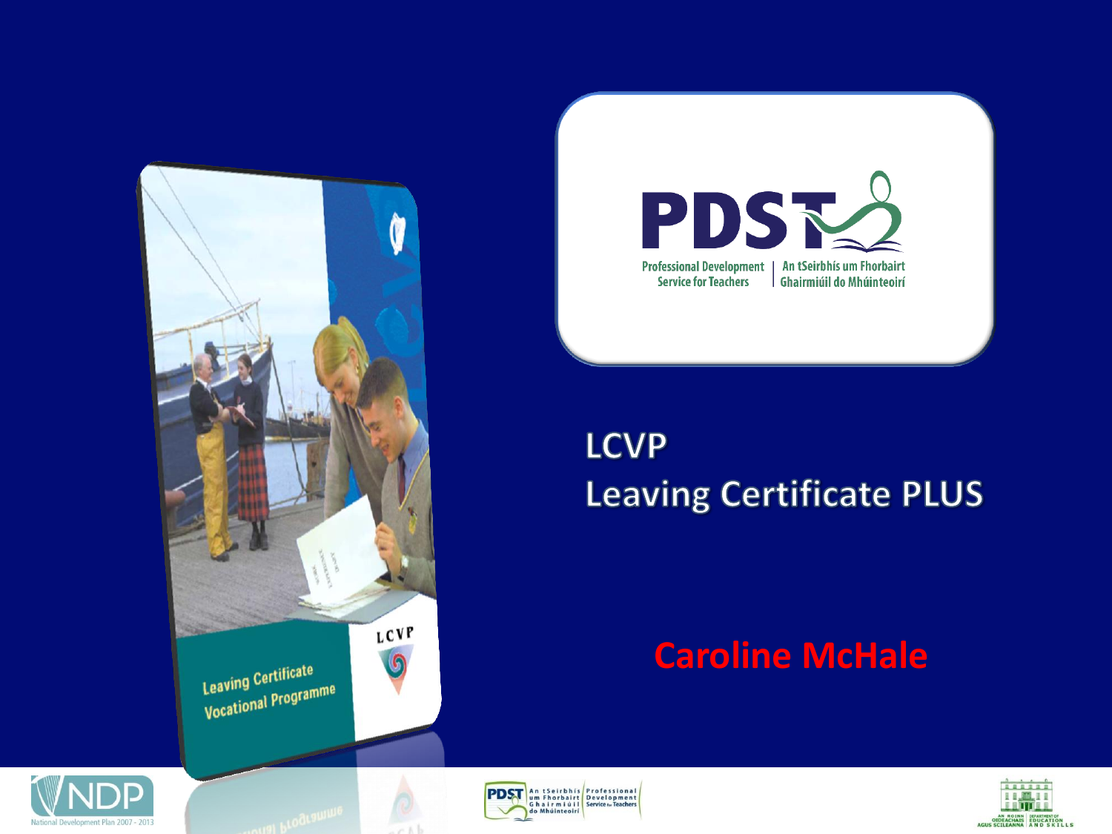



#### **LCVP Leaving Certificate PLUS**

#### **Caroline McHale**





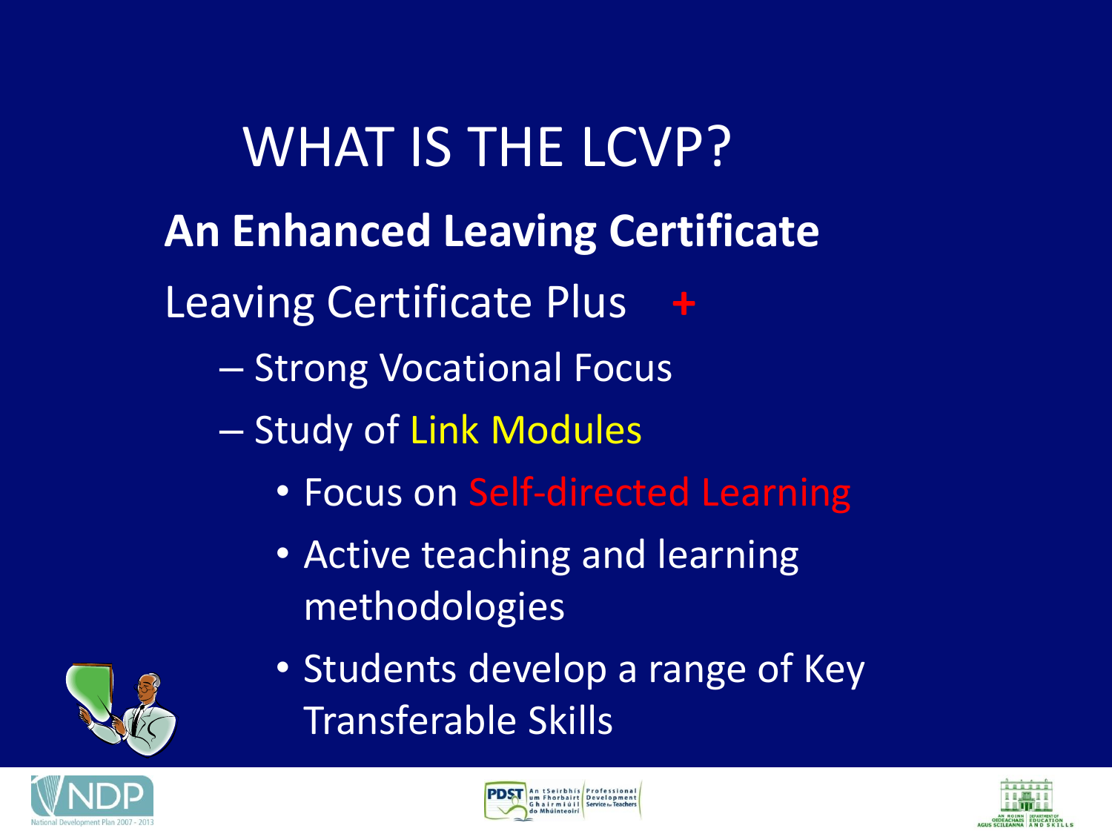WHAT IS THE LCVP? **An Enhanced Leaving Certificate Leaving Certificate Plus** – Strong Vocational Focus – Study of Link Modules • Focus on Self-directed Learning • Active teaching and learning

- methodologies
- Students develop a range of Key Transferable Skills





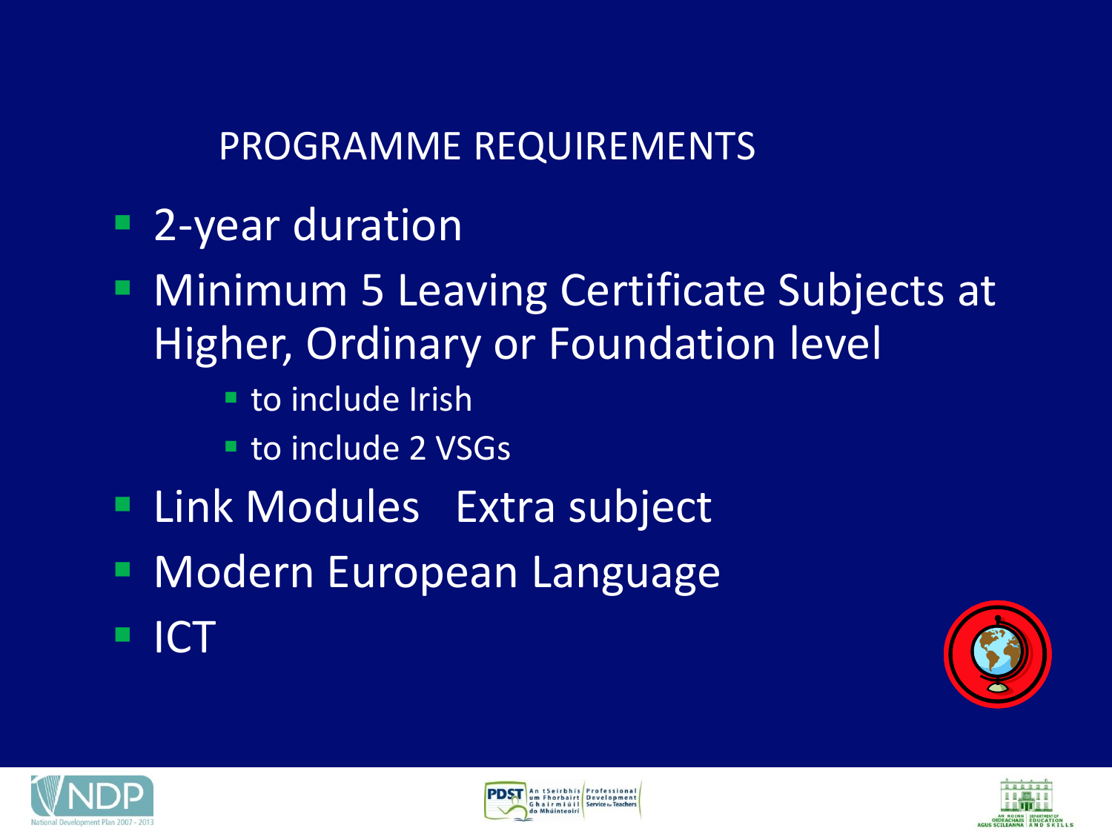PROGRAMME REQUIREMENTS

- 2-year duration
- **Minimum 5 Leaving Certificate Subjects at** Higher, Ordinary or Foundation level
	- **to include Irish**
	- to include 2 VSGs
- **Extra subject**
- **Modern European Language**
- ICT







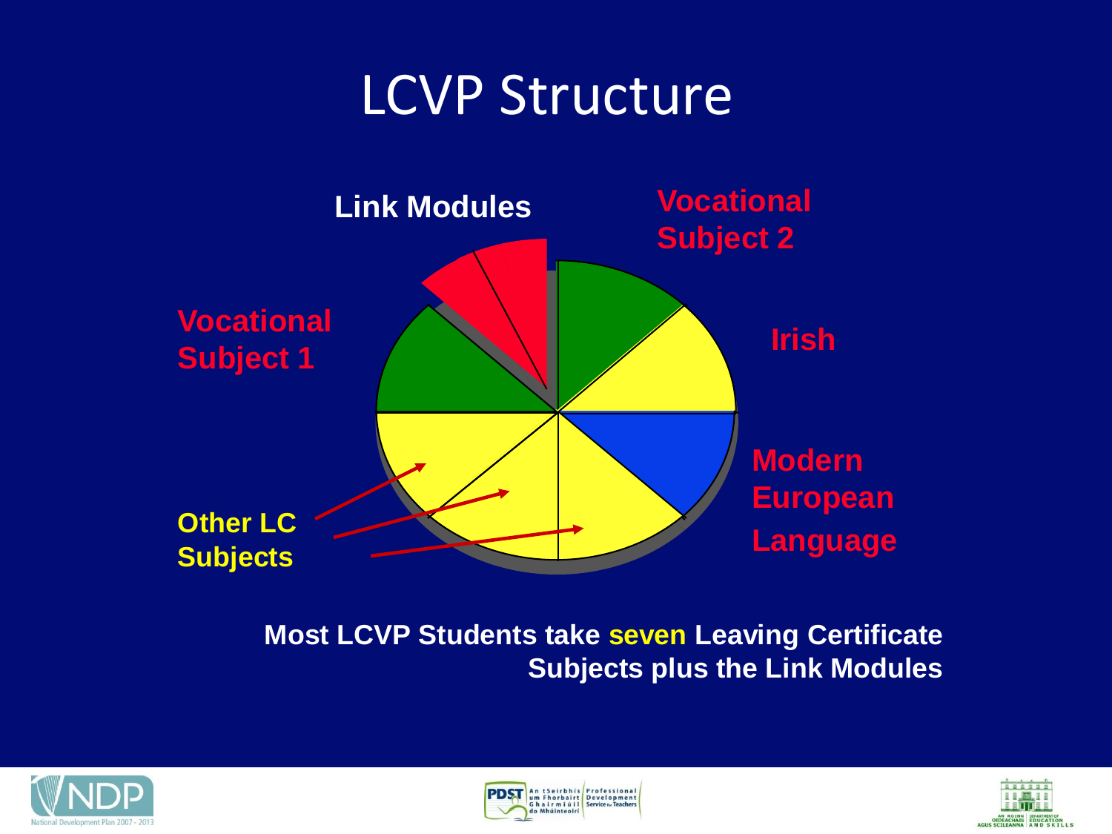### LCVP Structure



**Most LCVP Students take seven Leaving Certificate Subjects plus the Link Modules**





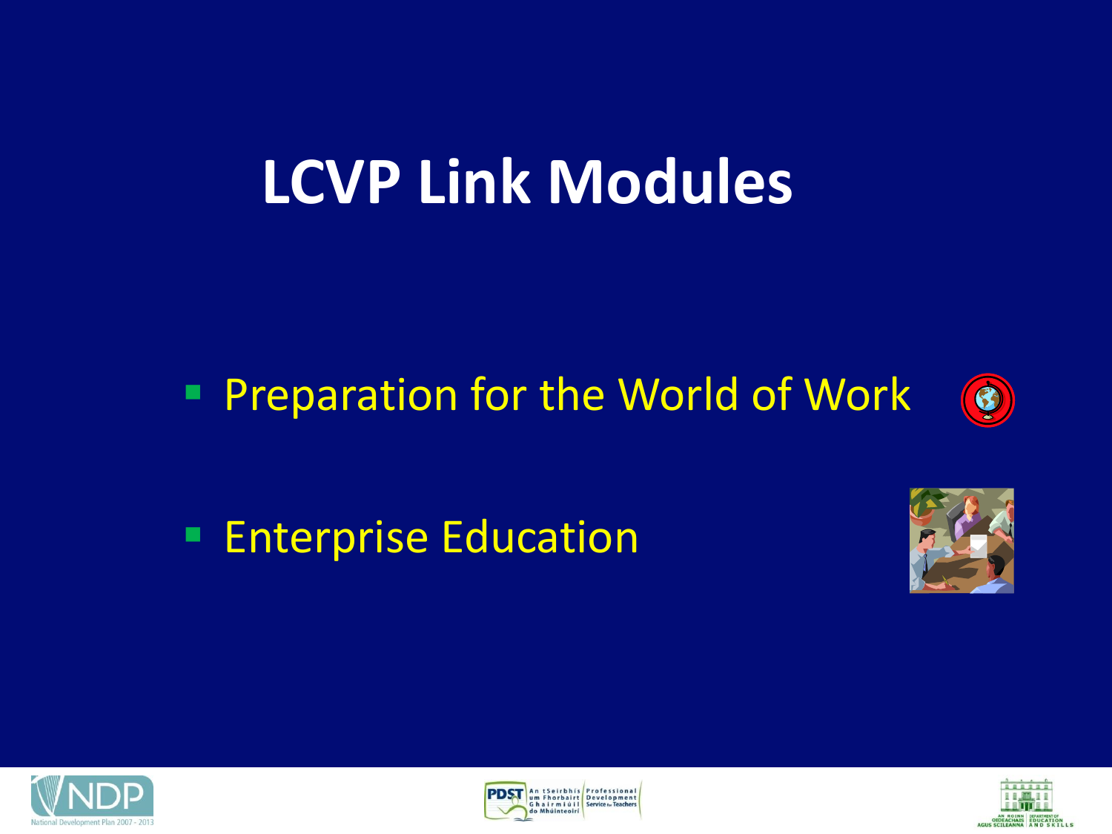### **LCVP Link Modules**

### **Preparation for the World of Work**



**Enterprise Education** 







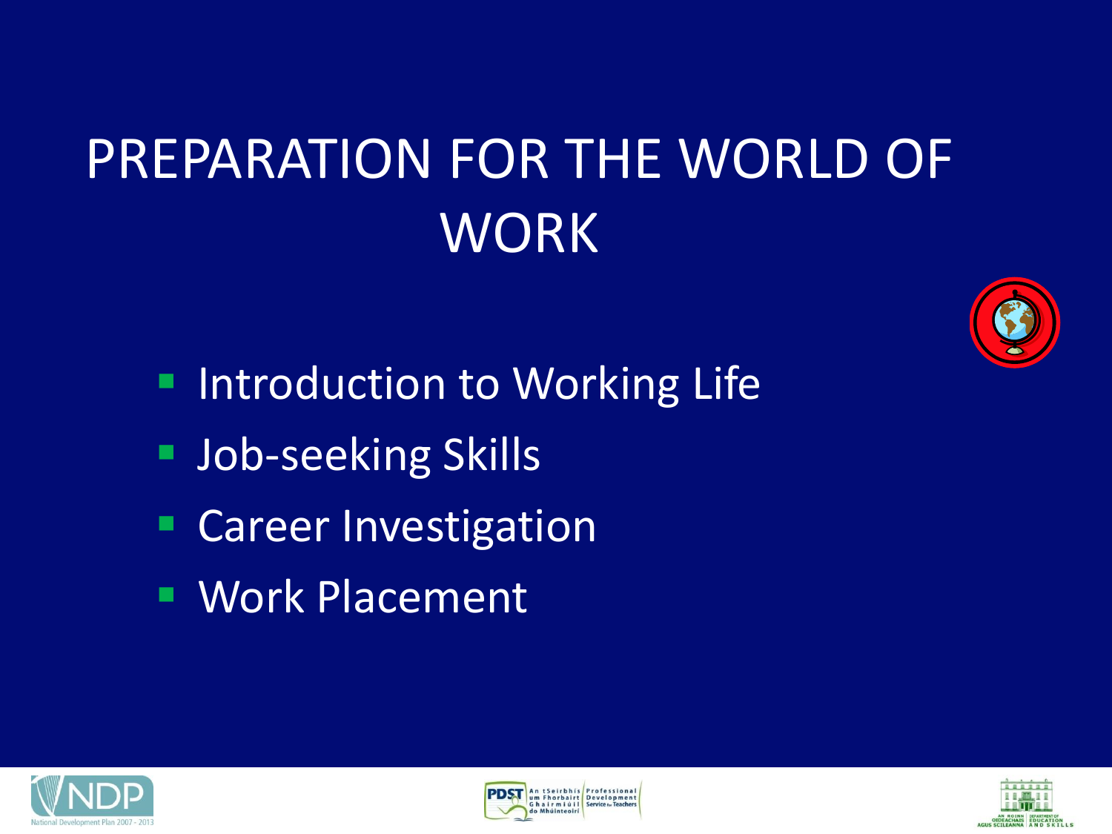# PREPARATION FOR THE WORLD OF **WORK**



- **Introduction to Working Life**
- **Job-seeking Skills**
- **Career Investigation**
- Work Placement





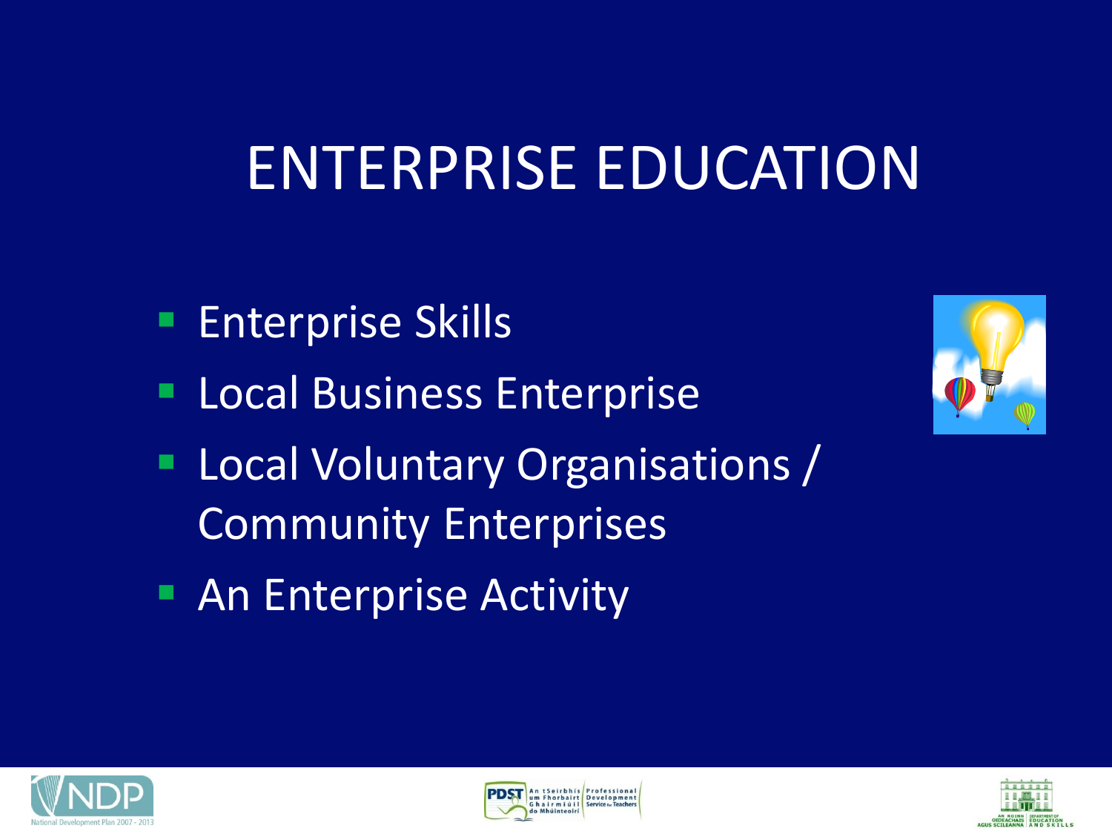### ENTERPRISE EDUCATION

- **Enterprise Skills**
- **Local Business Enterprise**
- **Local Voluntary Organisations /** Community Enterprises
- **An Enterprise Activity**







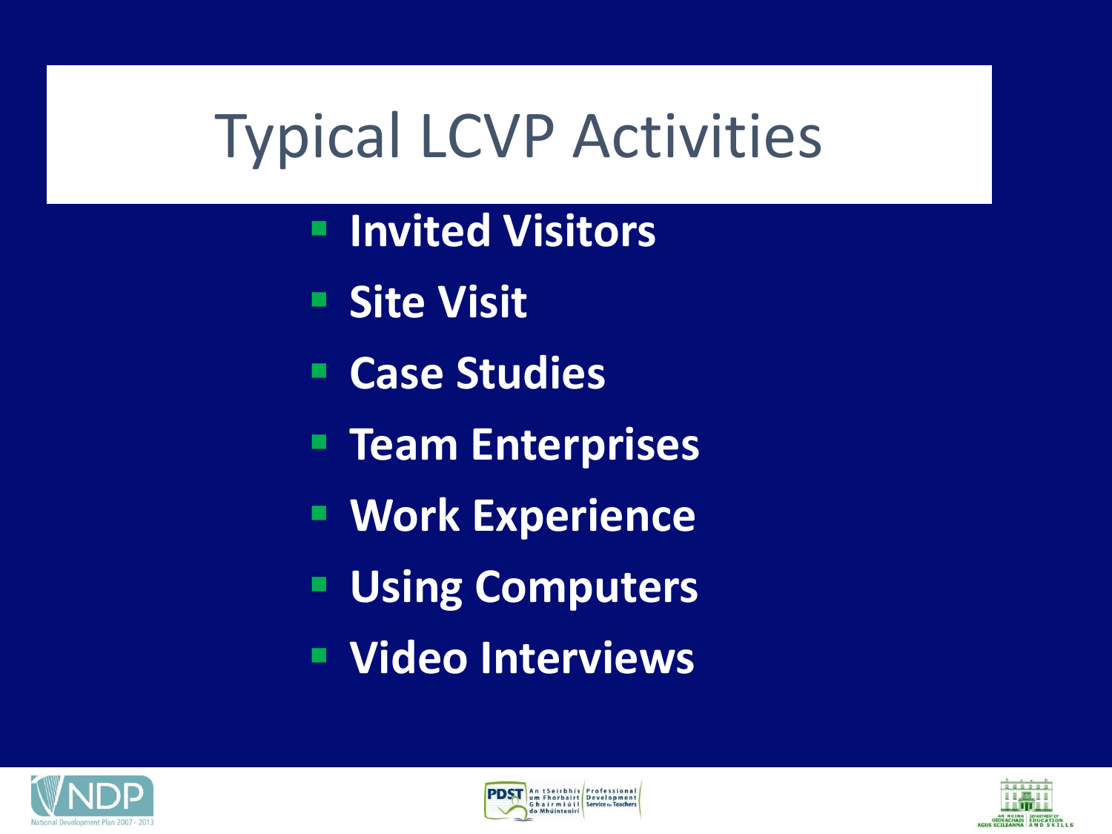# Typical LCVP Activities

- **Invited Visitors**
- **Site Visit**
- **Case Studies**
- **Team Enterprises**
- **EXperience**
- **Using Computers**
- **Video Interviews**





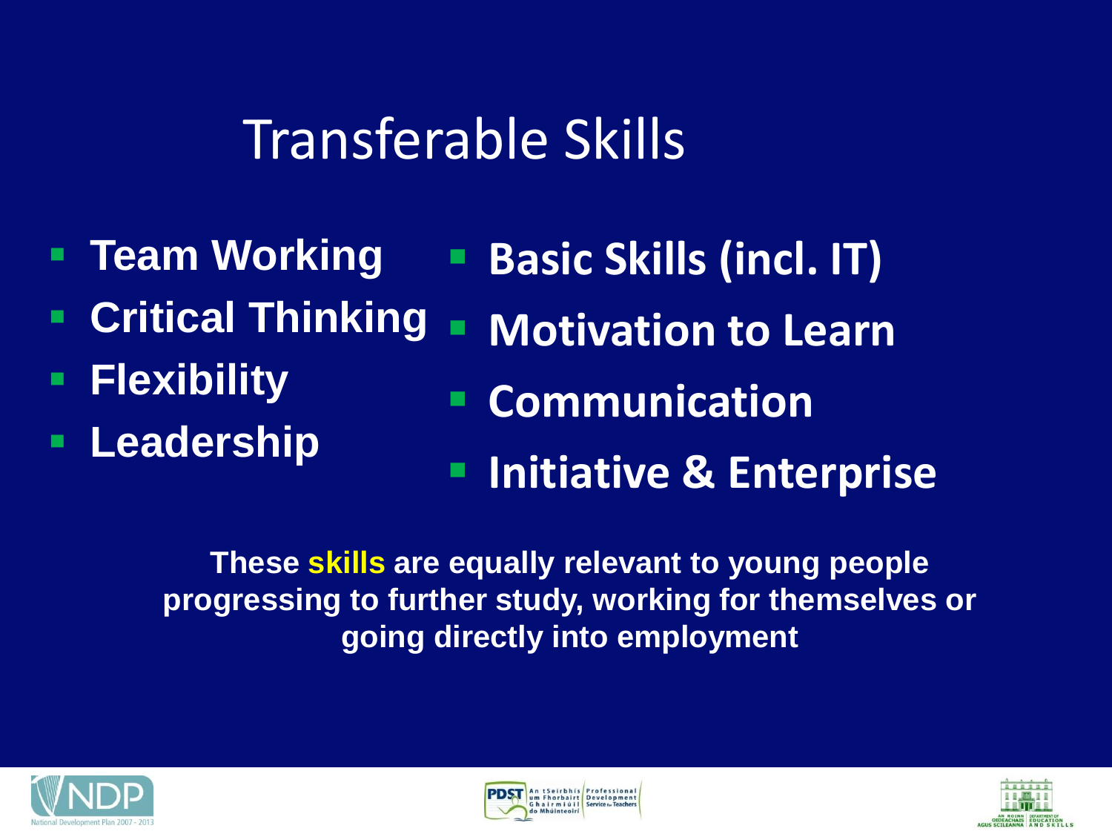### Transferable Skills

- **Team Working**
- **Critical Thinking**
- **Flexibility**
- **Leadership**
- **Basic Skills (incl. IT)**
- **E** Motivation to Learn
	- **Communication**
	- **Initiative & Enterprise**

**These skills are equally relevant to young people progressing to further study, working for themselves or going directly into employment**





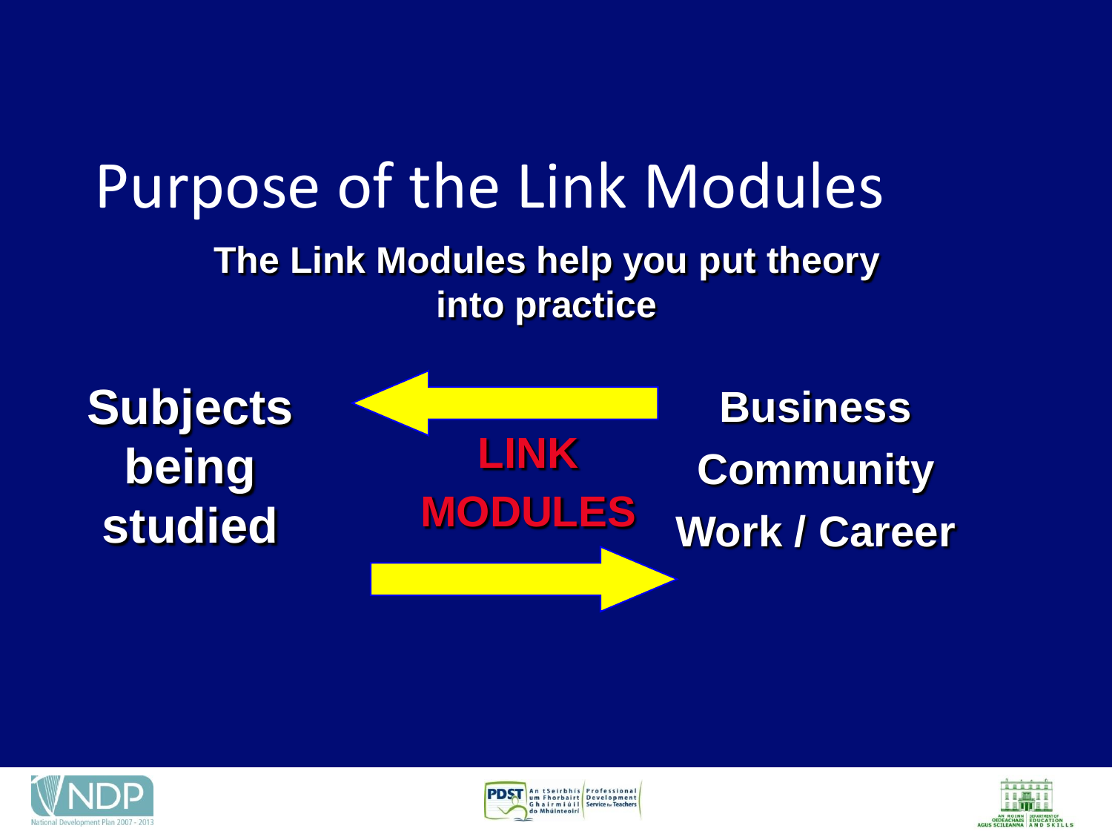### Purpose of the Link Modules **The Link Modules help you put theory into practice**

**Subjects being studied**

**LINK MODULES Business Community Work / Career**





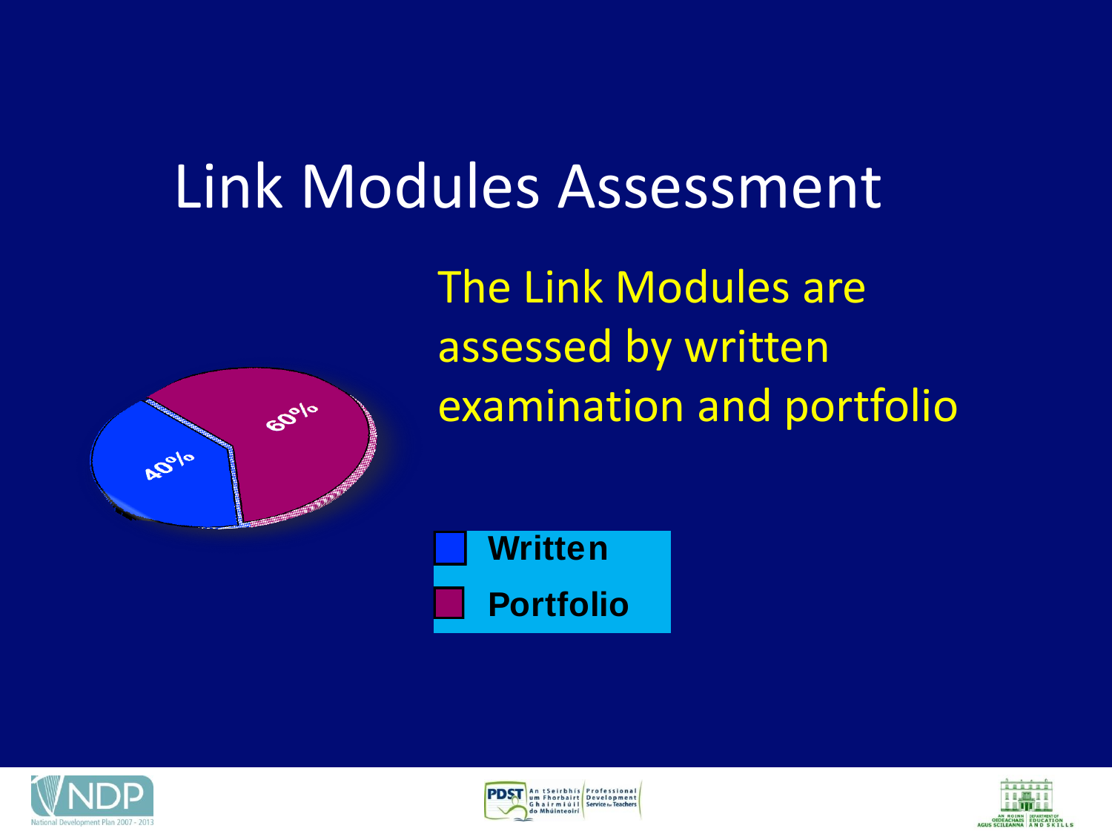### Link Modules Assessment



The Link Modules are assessed by written examination and portfolio

**Portfolio Written**





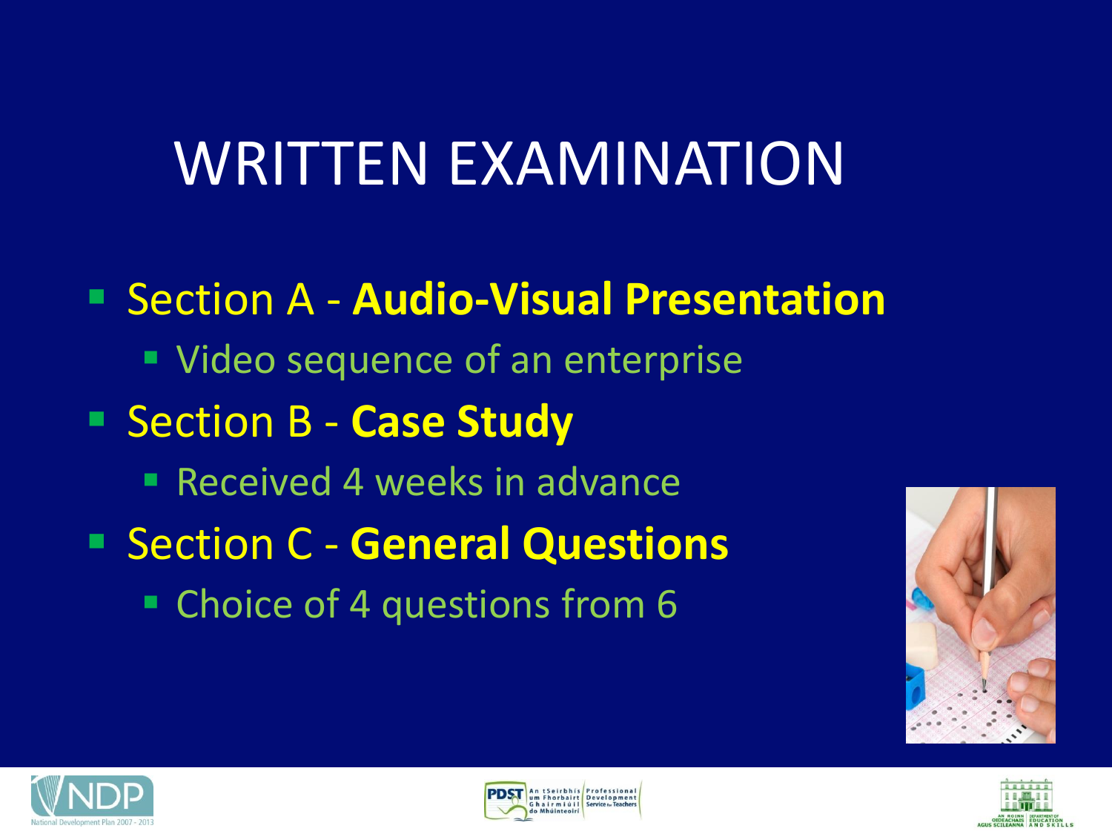### WRITTEN EXAMINATION

 Section A - **Audio-Visual Presentation Video sequence of an enterprise**  Section B - **Case Study Received 4 weeks in advance**  Section C - **General Questions** ■ Choice of 4 questions from 6







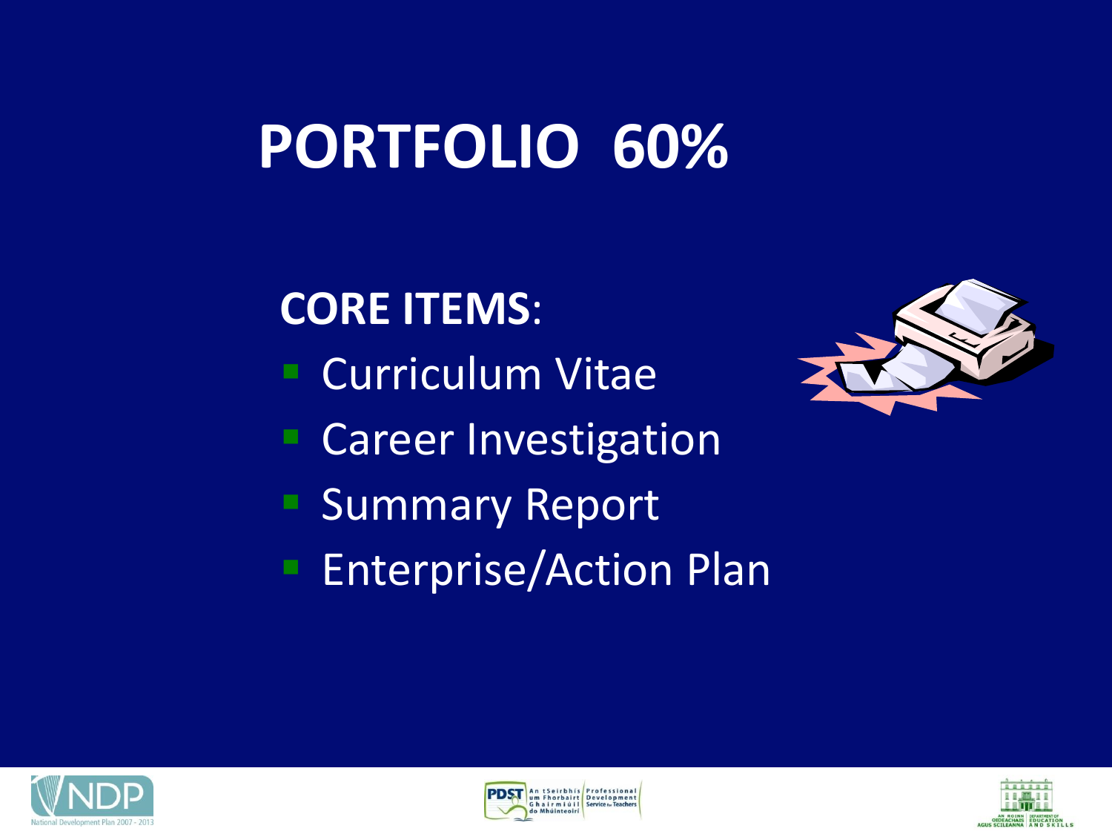### **PORTFOLIO 60%**

**CORE ITEMS**:

- **Curriculum Vitae**
- Career Investigation
- **Summary Report**
- **Enterprise/Action Plan**







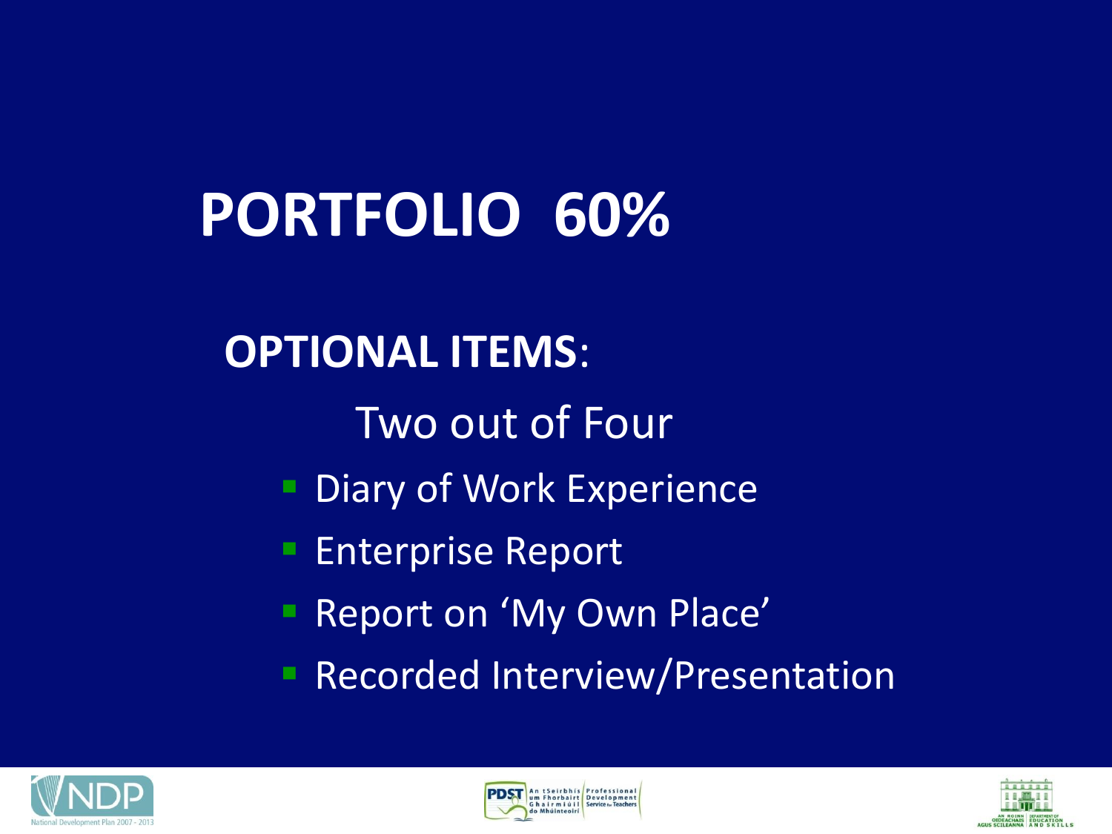# **PORTFOLIO 60%**

#### **OPTIONAL ITEMS**:

- Two out of Four
- Diary of Work Experience
- Enterprise Report
- Report on 'My Own Place'
- **Recorded Interview/Presentation**





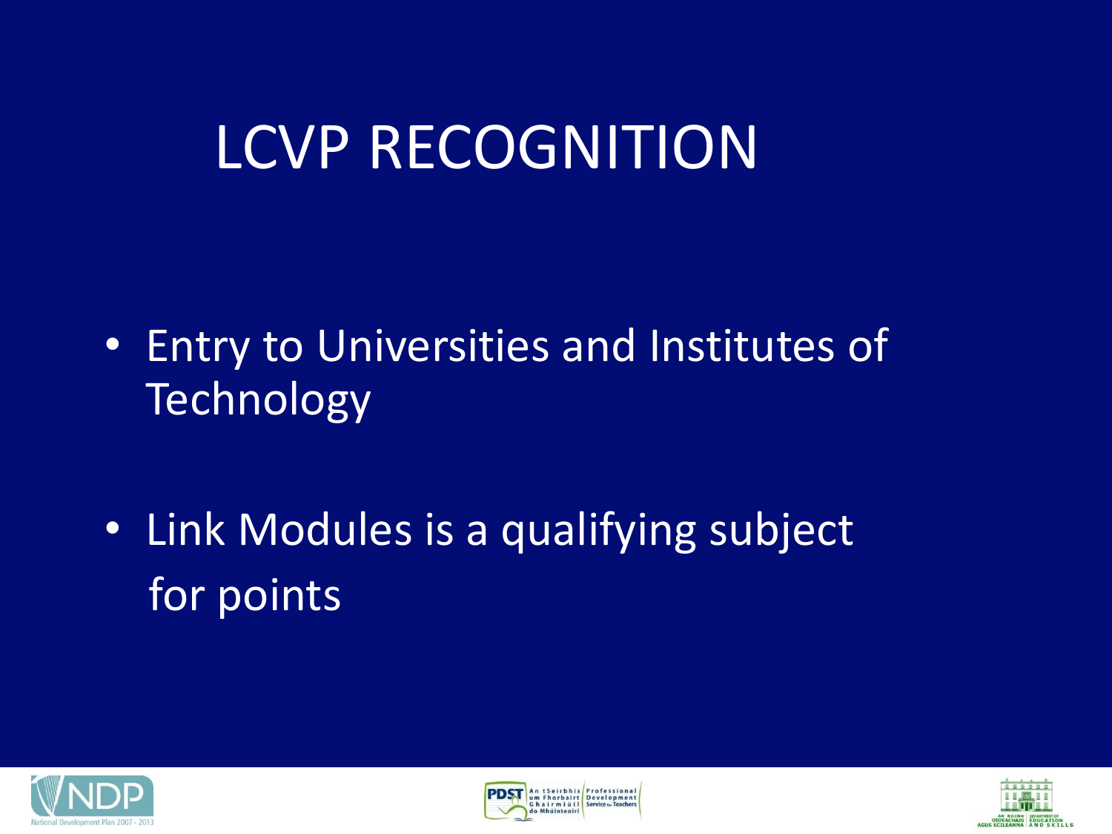## LCVP RECOGNITION

- Entry to Universities and Institutes of **Technology**
- Link Modules is a qualifying subject for points